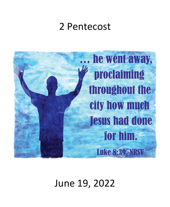# 2 Pentecost



# June 19, 2022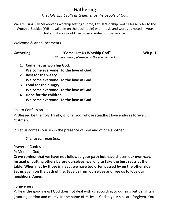## **Gathering**

*The Holy Spirit calls us together as the people of God.*

We are using Ray Makeever's worship setting "Come, Let Us Worship God." Please refer to the Worship Booklet (WB – available on the back table) with music and words as noted in your bulletin if you would like musical notes for the service**.**

Welcome & Announcements

### **Gathering "Come, Let Us Worship God" WB p. 1**

*(Congregation, please echo the song leader)*

- **1. Come, let us worship God. Welcome everyone. To the love of God.**
- **2. Rest for the weary. Welcome everyone. To the love of God.**
- **3. Food for the hungry. Welcome everyone. To the love of God.**
- **4. Hope for the children. Welcome everyone. To the love of God.**

### Call to Confession

P: Blessed be the holy Trinity,  $\pm$  one God, whose steadfast love endures forever.

### **C: Amen.**

P: Let us confess our sin in the presence of God and of one another.

*Silence for reflection.*

Prayer of Confession

P: Merciful God,

**C: we confess that we have not followed your path but have chosen our own way. Instead of putting others before ourselves, we long to take the best seats at the table. When met by those in need, we have too often passed by on the other side. Set us again on the path of life. Save us from ourselves and free us to love our neighbors. Amen.**

### Forgiveness

P: Hear the good news! God does not deal with us according to our sins but delights in granting pardon and mercy. In the name of  $\pm$  Jesus Christ, your sins are forgiven. You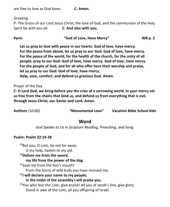are free to love as God loves. **C: Amen.**

Greeting

P: The Grace of our Lord Jesus Christ, the love of God, and the communion of the Holy Spirit be with you all. **C: And also with you.**

**Kyrie "God of Love, Have Mercy" WB p. 2**

**Let us pray to God with peace in our hearts: God of love, have mercy. For the peace from above, let us pray to our God: God of love, have mercy. For the peace of the world, for the health of the church, for the unity of all people, pray to our God: God of love, have mercy. God of love, have mercy. For the people of God, and for all who offer here their worship and praise, let us pray to our God: God of love, have mercy. Help, save, comfort, and defend us gracious God. Amen.**

### Prayer of the Day

**C: O Lord God, we bring before you the cries of a sorrowing world. In your mercy set us free from the chains that bind us, and defend us from everything that is evil, through Jesus Christ, our Savior and Lord. Amen.**

**Anthem** *(10:00)* **"Monumental Love" Vacation Bible School Kids**

### **Word**

*God Speaks to Us in Scripture Reading, Preaching, and Song.*

### **Psalm: Psalm 22:19-28**

 $19$ But you, O LORD, be not far away;

O my help, hasten to my aid.

<sup>20</sup>**Deliver me from the sword,**

### **my life from the power of the dog.**

<sup>21</sup> Save me from the lion's mouth!

From the horns of wild bulls you have rescued me.

### <sup>22</sup>**I will declare your name to my people;**

### **in the midst of the assembly I will praise you.**

 $23$ You who fear the LORD, give praise! All you of Jacob's line, give glory. Stand in awe of the LORD, all you offspring of Israel.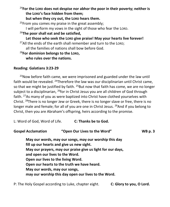<sup>24</sup> For the LORD does not despise nor abhor the poor in their poverty; neither is **the LORD's face hidden from them;**

**but when they cry out, the LORD hears them.**

<sup>25</sup>From you comes my praise in the great assembly; I will perform my vows in the sight of those who fear the LORD. <sup>26</sup>**The poor shall eat and be satisfied,** Let those who seek the LORD give praise! May your hearts live forever!

 $27$ All the ends of the earth shall remember and turn to the LORD;

all the families of nations shall bow before God.

<sup>28</sup>**For dominion belongs to the LORD,**

**who rules over the nations.**

### **Reading: Galatians 3:23-29**

 $23$ Now before faith came, we were imprisoned and guarded under the law until faith would be revealed. <sup>24</sup>Therefore the law was our disciplinarian until Christ came, so that we might be justified by faith.  $25$ But now that faith has come, we are no longer subject to a disciplinarian,  $^{26}$ for in Christ Jesus you are all children of God through faith. <sup>27</sup>As many of you as were baptized into Christ have clothed yourselves with Christ. <sup>28</sup>There is no longer Jew or Greek, there is no longer slave or free, there is no longer male and female; for all of you are one in Christ Jesus. <sup>29</sup>And if you belong to Christ, then you are Abraham's offspring, heirs according to the promise.

L: Word of God, Word of Life. **C: Thanks be to God.**

| <b>Gospel Acclamation</b>          | "Open Our Lives to the Word"                                | <b>WB</b> p. 3 |
|------------------------------------|-------------------------------------------------------------|----------------|
|                                    | May our words, may our songs, may our worship this day      |                |
|                                    | fill up our hearts and give us new sight.                   |                |
|                                    | May our prayers, may our praise give us light for our days, |                |
| and open our lives to the Word.    |                                                             |                |
| Open our lives to the living Word. |                                                             |                |
|                                    | Open our hearts to the truth we have heard.                 |                |
| May our words, may our songs,      |                                                             |                |
|                                    | may our worship this day open our lives to the Word.        |                |
|                                    |                                                             |                |

P: The Holy Gospel according to Luke, chapter eight. **C: Glory to you, O Lord.**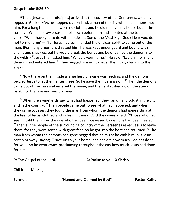### **Gospel: Luke 8:26-39**

<sup>26</sup>Then [Jesus and his disciples] arrived at the country of the Gerasenes, which is opposite Galilee. <sup>27</sup>As he stepped out on land, a man of the city who had demons met him. For a long time he had worn no clothes, and he did not live in a house but in the tombs. <sup>28</sup>When he saw Jesus, he fell down before him and shouted at the top of his voice, "What have you to do with me, Jesus, Son of the Most High God? I beg you, do not torment me"—<sup>29</sup>for Jesus had commanded the unclean spirit to come out of the man. (For many times it had seized him; he was kept under guard and bound with chains and shackles, but he would break the bonds and be driven by the demon into the wilds.)  $30$  Jesus then asked him, "What is your name?" He said, "Legion"; for many demons had entered him. <sup>31</sup>They begged him not to order them to go back into the abyss.

 $32$ Now there on the hillside a large herd of swine was feeding; and the demons begged Jesus to let them enter these. So he gave them permission. <sup>33</sup>Then the demons came out of the man and entered the swine, and the herd rushed down the steep bank into the lake and was drowned.

 $34$ When the swineherds saw what had happened, they ran off and told it in the city and in the country. <sup>35</sup>Then people came out to see what had happened, and when they came to Jesus, they found the man from whom the demons had gone sitting at the feet of Jesus, clothed and in his right mind. And they were afraid. <sup>36</sup>Those who had seen it told them how the one who had been possessed by demons had been healed.  $37$ Then all the people of the surrounding country of the Gerasenes asked Jesus to leave them; for they were seized with great fear. So he got into the boat and returned.  $38$ The man from whom the demons had gone begged that he might be with him; but Jesus sent him away, saying, <sup>39</sup> Return to your home, and declare how much God has done for you." So he went away, proclaiming throughout the city how much Jesus had done for him.

```
P: The Gospel of the Lord. C: Praise to you, O Christ.
```
Children's Message

**Sermon "Named and Claimed by God" Pastor Kathy**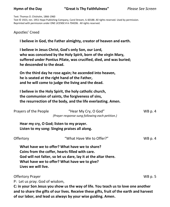### **Hymn of the Day "Great Is Thy Faithfulness"** *Please See Screen*

Text: Thomas O. Chisholm, 1866-1960

Text © 1923, ren. 1951 Hope Publishing Company, Carol Stream, IL 60188. All rights reserved. Used by permission. Reprinted with permission under ONE LICENSE # A-704206. All rights reserved.

### Apostles' Creed

**I believe in God, the Father almighty, creator of heaven and earth.**

**I believe in Jesus Christ, God's only Son, our Lord, who was conceived by the Holy Spirit, born of the virgin Mary, suffered under Pontius Pilate, was crucified, died, and was buried; he descended to the dead.**

**On the third day he rose again; he ascended into heaven, he is seated at the right hand of the Father, and he will come to judge the living and the dead.**

**I believe in the Holy Spirit, the holy catholic church, the communion of saints, the forgiveness of sins, the resurrection of the body, and the life everlasting. Amen.**

| Prayers of the People          | "Hear My Cry, O God"<br>(Prayer response sung following each petition.)                                                                                                                                                                        | $WB$ p. 4      |
|--------------------------------|------------------------------------------------------------------------------------------------------------------------------------------------------------------------------------------------------------------------------------------------|----------------|
|                                | Hear my cry, O God; listen to my prayer.<br>Listen to my song: Singing praises all along.                                                                                                                                                      |                |
| Offertory                      | "What Have We to Offer?"                                                                                                                                                                                                                       | WB p. 4        |
| Lives we will live.            | What have we to offer? What have we to share?<br>Coins from the coffer, hearts filled with care.<br>God will not falter, so let us dare, lay it at the altar there.<br>What have we to offer? What have we to give?                            |                |
| <b>Offertory Prayer</b>        |                                                                                                                                                                                                                                                | <b>WB</b> p. 5 |
| P: Let us pray. God of wisdom, |                                                                                                                                                                                                                                                |                |
|                                | C: in your Son Jesus you show us the way of life. You teach us to love one another<br>and to share the gifts of our lives. Receive these gifts, fruit of the earth and harvest<br>of our labor, and lead us always by your wise guiding. Amen. |                |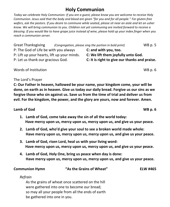## **Holy Communion**

*Today we celebrate Holy Communion: If you are a guest, please know you are welcome to receive Holy Communion. Jesus said that the body and blood are given "for you and for all people." For gluten-free wafers, ask the pastors. If you desire to commune while seated, please sit near an aisle and let an usher know. We will bring communion to you. Children not yet communing are invited forward to receive a blessing. If you would like to have grape juice instead of wine, please hold up your index finger when you reach a communion server.*

Great Thanksgiving *(Congregation, please sing the portion in bold print)* WB p. 5 P: The God of Life be with you always **C: and with you, too.** P: Lift up your hearts, lift up your minds. **C: We lift them joyfully unto God.** P: Let us thank our gracious God. **C: It is right to give our thanks and praise.**

Words of Institution WB p. 6

### The Lord's Prayer

**C: Our Father in heaven, hallowed be your name, your kingdom come, your will be done, on earth as in heaven. Give us today our daily bread. Forgive us our sins as we forgive those who sin against us. Save us from the time of trial and deliver us from evil. For the kingdom, the power, and the glory are yours, now and forever. Amen.**

### **Lamb of God WB p. 6**

- **1. Lamb of God, come take away the sin of all the world today: Have mercy upon us, mercy upon us, mercy upon us, and give us your peace.**
- **2. Lamb of God, who'd give your soul to see a broken world made whole: Have mercy upon us, mercy upon us, mercy upon us, and give us your peace.**
- **3. Lamb of God, risen Lord, heal us with your living word: Have mercy upon us, mercy upon us, mercy upon us, and give us your peace.**
- **4. Lamb of God, Holy One, bring us peace when day is done: Have mercy upon us, mercy upon us, mercy upon us, and give us your peace.**

| <b>Communion Hymn</b> | "As the Grains of Wheat" | <b>ELW #465</b> |  |
|-----------------------|--------------------------|-----------------|--|
| Refrain               |                          |                 |  |

As the grains of wheat once scattered on the hill were gathered into one to become our bread; so may all your people from all the ends of earth be gathered into one in you.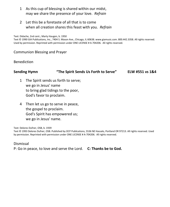- 1 As this cup of blessing is shared within our midst, may we share the presence of your love. *Refrain*
- 2 Let this be a foretaste of all that is to come when all creation shares this feast with you. *Refrain*

Text: Didache, 2nd cent.; Marty Haugen, b. 1950

Text © 1990 GIA Publications, Inc., 7404 S. Mason Ave., Chicago, IL 60638. www.giamusic.com. 800.442.3358. All rights reserved. Used by permission. Reprinted with permission under ONE LICENSE # A-704206. All rights reserved.

### Communion Blessing and Prayer

### Benediction

### **Sending Hymn "The Spirit Sends Us Forth to Serve" ELW #551 vs 1&4**

- 1 The Spirit sends us forth to serve; we go in Jesus' name to bring glad tidings to the poor, God's favor to proclaim.
- 4 Then let us go to serve in peace, the gospel to proclaim. God's Spirit has empowered us; we go in Jesus' name.

Text: Delores Dufner, OSB, b. 1939

Text © 1993 Delores Dufner, OSB. Published by OCP Publications, 5536 NE Hassalo, Portland OR 97213. All rights reserved. Used by permission. Reprinted with permission under ONE LICENSE # A-704206. All rights reserved.

Dismissal P: Go in peace, to love and serve the Lord. **C: Thanks be to God.**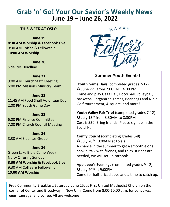# **Grab 'n' Go! Your Our Savior's Weekly News June 19 – June 26, 2022**

### **THIS WEEK AT OSLC:**

**June 19 8:30 AM Worship & Facebook Live** 9:30 AM Coffee & Fellowship **10:00 AM Worship**

**June 20** Sidelites Deadline

**June 21** 9:00 AM Church Staff Meeting 6:00 PM Missions Ministry Team

**June 22** 11:45 AM Food Shelf Volunteer Day 2:00 PM Youth Game Day

**June 23** 6:00 PM Finance Committee 7:00 PM Church Council Meeting

**June 24** 8:30 AM Sidelites Group

**June 26** Green Lake Bible Camp Week Noisy Offering Sunday **8:30 AM Worship & Facebook Live** 9:30 AM Coffee & Fellowship **10:00 AM Worship**

HAPPY



### **Summer Youth Events!**

**Youth Game Days** (completed grades 7-12)  $\bullet$  June 22<sup>th</sup> from 2:00PM – 4:00 PM Come and play Gaga Ball, Bocci ball, volleyball, basketball, organized games, Beanbags and Ninja Golf tournament, 4-square, and more!

**Youth Valley Fair Trip!** (completed grades 7-12) July 13th from 8:30AM to 8:30PM Cost is \$30. Bring friends! Please sign up in the Social Hall.

**Comfy Couch!** (completing grades 6-8) July 20th 10:00AM at Lola's A chance in the summer to get a smoothie or a cookie, talk with friends, and relax. If rides are needed, we will set up carpools.

**Applebee's Evenings** (completed grades 9-12)  $\odot$  July 20<sup>th</sup> at 9:00PM Come for half-priced apps and a time to catch up.

Free Community Breakfast, Saturday, June 25, at First United Methodist Church on the corner of Center and Broadway in New Ulm. Come from 8:00-10:00 a.m. for pancakes, eggs, sausage, and coffee. All are welcome!